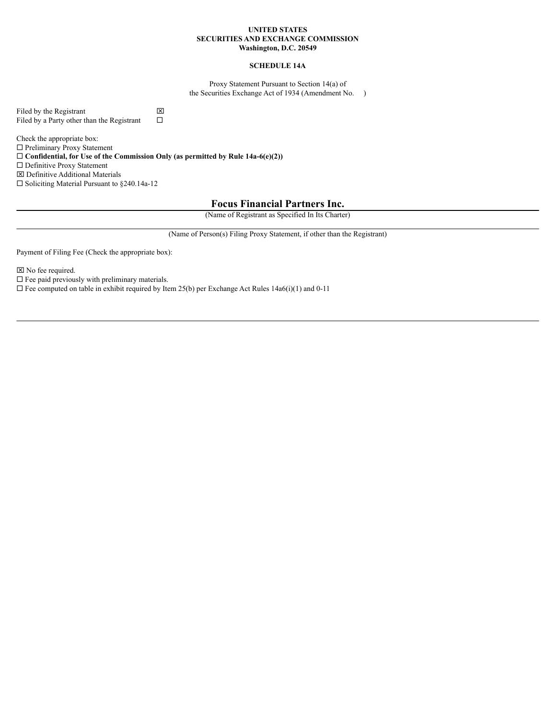## **UNITED STATES SECURITIES AND EXCHANGE COMMISSION Washington, D.C. 20549**

## **SCHEDULE 14A**

Proxy Statement Pursuant to Section 14(a) of the Securities Exchange Act of 1934 (Amendment No. )

Filed by the Registrant  $\boxtimes$ <br>Filed by a Party other than the Registrant  $\square$ Filed by a Party other than the Registrant

Check the appropriate box:  $\square$  Preliminary Proxy Statement ¨ **Confidential, for Use of the Commission Only (as permitted by Rule 14a-6(e)(2))**  $\square$  Definitive Proxy Statement x Definitive Additional Materials  $\square$  Soliciting Material Pursuant to §240.14a-12

## **Focus Financial Partners Inc.**

(Name of Registrant as Specified In Its Charter)

(Name of Person(s) Filing Proxy Statement, if other than the Registrant)

Payment of Filing Fee (Check the appropriate box):

 $⊠$  No fee required.

 $\square$  Fee paid previously with preliminary materials.

 $\square$  Fee computed on table in exhibit required by Item 25(b) per Exchange Act Rules 14a6(i)(1) and 0-11